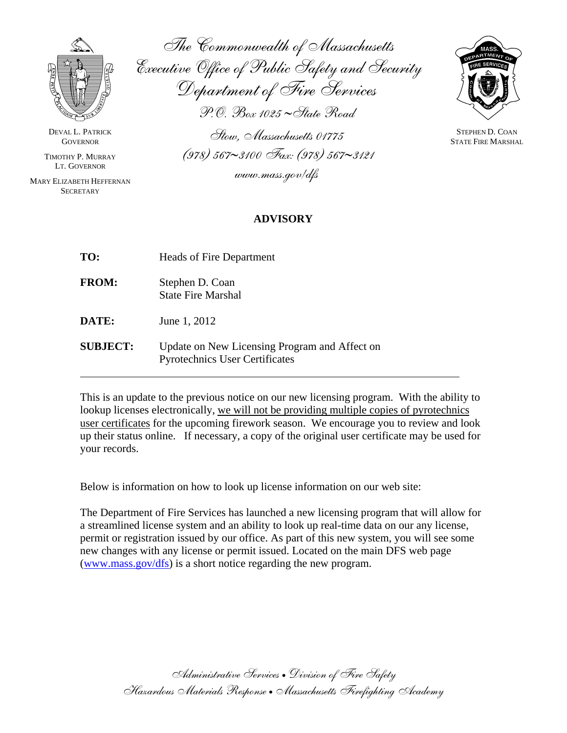

DEVAL L. PATRICK **GOVERNOR** 

TIMOTHY P. MURRAY LT. GOVERNOR

MARY ELIZABETH HEFFERNAN **SECRETARY** 

 $\overline{a}$ 

The Commonwealth of Massachusetts Executive Office of Public Safety and Security Department of Fire Services P.O. Box 1025 ∼State Road

Stow, Massachusetts 01775 (978) 567∼3100 Fax: (978) 567∼3121 www.mass.gov/dfs



STEPHEN D. COAN STATE FIRE MARSHAL

## **ADVISORY**

| TO:             | <b>Heads of Fire Department</b>                                                        |
|-----------------|----------------------------------------------------------------------------------------|
| <b>FROM:</b>    | Stephen D. Coan<br><b>State Fire Marshal</b>                                           |
| <b>DATE:</b>    | June 1, 2012                                                                           |
| <b>SUBJECT:</b> | Update on New Licensing Program and Affect on<br><b>Pyrotechnics User Certificates</b> |

This is an update to the previous notice on our new licensing program. With the ability to lookup licenses electronically, we will not be providing multiple copies of pyrotechnics user certificates for the upcoming firework season. We encourage you to review and look up their status online. If necessary, a copy of the original user certificate may be used for your records.

Below is information on how to look up license information on our web site:

The Department of Fire Services has launched a new licensing program that will allow for a streamlined license system and an ability to look up real-time data on our any license, permit or registration issued by our office. As part of this new system, you will see some new changes with any license or permit issued. Located on the main DFS web page  $(www.mass.gov/dfs)$  $(www.mass.gov/dfs)$  is a short notice regarding the new program.

> Administrative Services • Division of Fire Safety Hazardous Materials Response • Massachusetts Firefighting Academy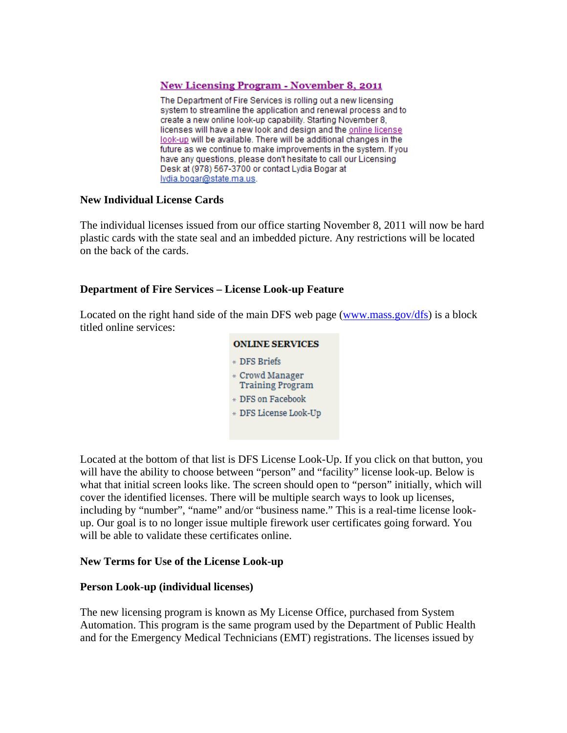### **New Licensing Program - November 8, 2011**

The Department of Fire Services is rolling out a new licensing system to streamline the application and renewal process and to create a new online look-up capability. Starting November 8, licenses will have a new look and design and the online license look-up will be available. There will be additional changes in the future as we continue to make improvements in the system. If you have any questions, please don't hesitate to call our Licensing Desk at (978) 567-3700 or contact Lydia Bogar at lydia.bogar@state.ma.us.

### **New Individual License Cards**

The individual licenses issued from our office starting November 8, 2011 will now be hard plastic cards with the state seal and an imbedded picture. Any restrictions will be located on the back of the cards.

### **Department of Fire Services – License Look-up Feature**

Located on the right hand side of the main DFS web page [\(www.mass.gov/dfs\)](http://www.mass.gov/dfs) is a block titled online services:

| <b>ONLINE SERVICES</b>                     |  |
|--------------------------------------------|--|
| * DFS Briefs                               |  |
| * Crowd Manager<br><b>Training Program</b> |  |
| * DFS on Facebook                          |  |
| * DFS License Look-Up                      |  |
|                                            |  |

Located at the bottom of that list is DFS License Look-Up. If you click on that button, you will have the ability to choose between "person" and "facility" license look-up. Below is what that initial screen looks like. The screen should open to "person" initially, which will cover the identified licenses. There will be multiple search ways to look up licenses, including by "number", "name" and/or "business name." This is a real-time license lookup. Our goal is to no longer issue multiple firework user certificates going forward. You will be able to validate these certificates online.

#### **New Terms for Use of the License Look-up**

#### **Person Look-up (individual licenses)**

The new licensing program is known as My License Office, purchased from System Automation. This program is the same program used by the Department of Public Health and for the Emergency Medical Technicians (EMT) registrations. The licenses issued by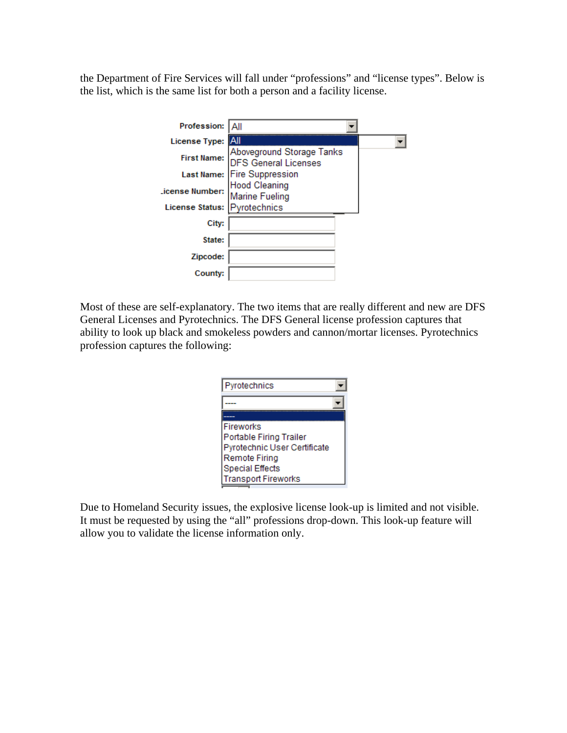the Department of Fire Services will fall under "professions" and "license types". Below is the list, which is the same list for both a person and a facility license.

| Profession:            |                                                   |  |
|------------------------|---------------------------------------------------|--|
| <b>License Type:</b>   |                                                   |  |
| <b>First Name:</b>     | Aboveground Storage Tanks<br>DFS General Licenses |  |
|                        | Last Name: Fire Suppression                       |  |
| .icense Number:        | <b>Hood Cleaning</b><br><b>Marine Fueling</b>     |  |
| <b>License Status:</b> | Pyrotechnics                                      |  |
| City:                  |                                                   |  |
| State:                 |                                                   |  |
| Zipcode:               |                                                   |  |
| County:                |                                                   |  |

Most of these are self-explanatory. The two items that are really different and new are DFS General Licenses and Pyrotechnics. The DFS General license profession captures that ability to look up black and smokeless powders and cannon/mortar licenses. Pyrotechnics profession captures the following:

| Pyrotechnics                 |  |
|------------------------------|--|
|                              |  |
|                              |  |
| <b>Fireworks</b>             |  |
| Portable Firing Trailer      |  |
| Pyrotechnic User Certificate |  |
| <b>Remote Firing</b>         |  |
| <b>Special Effects</b>       |  |
| <b>Transport Fireworks</b>   |  |

Due to Homeland Security issues, the explosive license look-up is limited and not visible. It must be requested by using the "all" professions drop-down. This look-up feature will allow you to validate the license information only.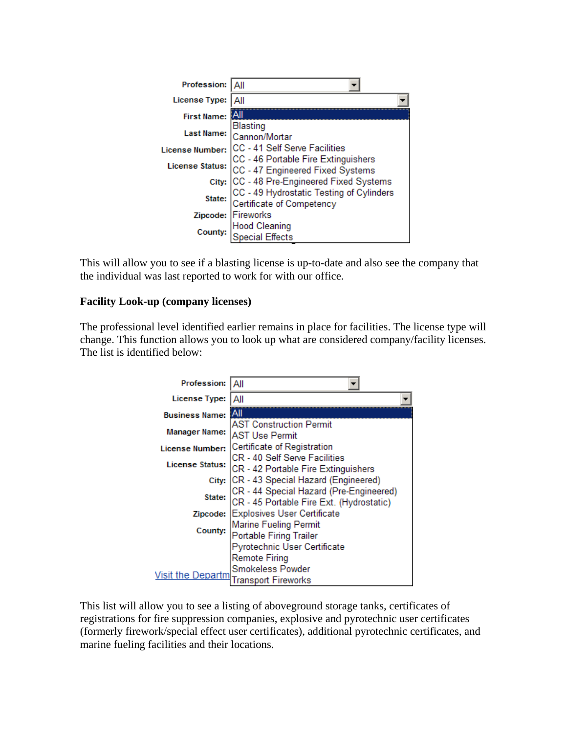| Profession:            |                                                                                                                            |
|------------------------|----------------------------------------------------------------------------------------------------------------------------|
| License Type:          | Αll                                                                                                                        |
| <b>First Name:</b>     |                                                                                                                            |
| <b>Last Name:</b>      |                                                                                                                            |
|                        | Blasting<br>Cannon/Mortar                                                                                                  |
| License Number:        | CC - 41 Self Serve Facilities<br>CC - 46 Portable Fire Extinguishers<br>CC - 47 Engineered Fixed Systems                   |
|                        |                                                                                                                            |
| <b>License Status:</b> |                                                                                                                            |
|                        |                                                                                                                            |
|                        |                                                                                                                            |
|                        | City: CC - 48 Pre-Engineered Fixed Systems<br>State: CC - 49 Hydrostatic Testing of Cylinders<br>Certificate of Competency |
|                        | Zipcode: Fireworks                                                                                                         |
|                        | Hood Cleaning<br>Special Effects                                                                                           |
| County:                |                                                                                                                            |
|                        |                                                                                                                            |

This will allow you to see if a blasting license is up-to-date and also see the company that the individual was last reported to work for with our office.

## **Facility Look-up (company licenses)**

The professional level identified earlier remains in place for facilities. The license type will change. This function allows you to look up what are considered company/facility licenses. The list is identified below:

| Profession:            | Αll                                                                                 |  |
|------------------------|-------------------------------------------------------------------------------------|--|
| License Type:          | All                                                                                 |  |
| <b>Business Name:</b>  | ¦A⊪                                                                                 |  |
| <b>Manager Name:</b>   | <b>AST Construction Permit</b><br><b>AST Use Permit</b>                             |  |
| License Number:        | Certificate of Registration                                                         |  |
| <b>License Status:</b> | CR - 40 Self Serve Facilities<br>CR - 42 Portable Fire Extinguishers                |  |
|                        | City: CR - 43 Special Hazard (Engineered)                                           |  |
| State:                 | CR - 44 Special Hazard (Pre-Engineered)<br>CR - 45 Portable Fire Ext. (Hydrostatic) |  |
|                        | Zipcode: Explosives User Certificate                                                |  |
| County:                | Marine Fueling Permit<br>Portable Firing Trailer                                    |  |
|                        | Pyrotechnic User Certificate                                                        |  |
| Visit the Departm      | <b>Remote Firing</b><br>Smokeless Powder<br>Transport Fireworks                     |  |

This list will allow you to see a listing of aboveground storage tanks, certificates of registrations for fire suppression companies, explosive and pyrotechnic user certificates (formerly firework/special effect user certificates), additional pyrotechnic certificates, and marine fueling facilities and their locations.